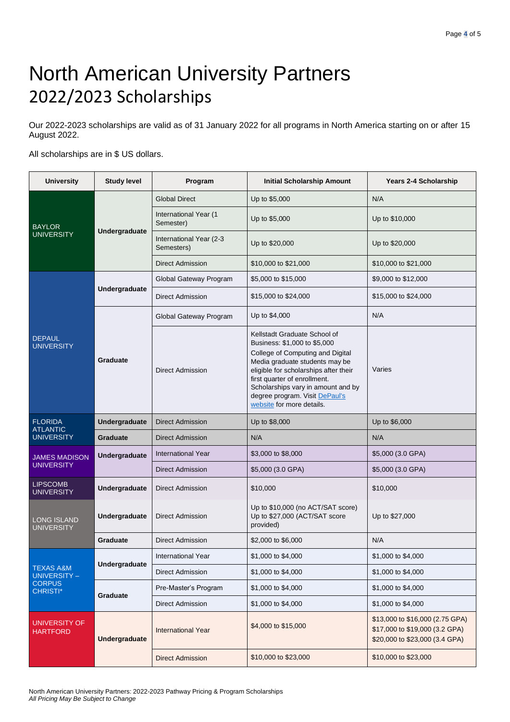## North American University Partners 2022/2023 Scholarships

Our 2022-2023 scholarships are valid as of 31 January 2022 for all programs in North America starting on or after 15 August 2022.

All scholarships are in \$ US dollars.

| <b>University</b>                                                        | <b>Study level</b>   | Program                               | Initial Scholarship Amount                                                                                                                                                                                                                                                                                       | <b>Years 2-4 Scholarship</b>                                                                        |
|--------------------------------------------------------------------------|----------------------|---------------------------------------|------------------------------------------------------------------------------------------------------------------------------------------------------------------------------------------------------------------------------------------------------------------------------------------------------------------|-----------------------------------------------------------------------------------------------------|
| <b>BAYLOR</b><br><b>UNIVERSITY</b>                                       | <b>Undergraduate</b> | <b>Global Direct</b>                  | Up to \$5,000                                                                                                                                                                                                                                                                                                    | N/A                                                                                                 |
|                                                                          |                      | International Year (1<br>Semester)    | Up to \$5,000                                                                                                                                                                                                                                                                                                    | Up to \$10,000                                                                                      |
|                                                                          |                      | International Year (2-3<br>Semesters) | Up to \$20,000                                                                                                                                                                                                                                                                                                   | Up to \$20,000                                                                                      |
|                                                                          |                      | <b>Direct Admission</b>               | \$10,000 to \$21,000                                                                                                                                                                                                                                                                                             | \$10,000 to \$21,000                                                                                |
| <b>DEPAUL</b><br><b>UNIVERSITY</b>                                       | Undergraduate        | Global Gateway Program                | \$5,000 to \$15,000                                                                                                                                                                                                                                                                                              | \$9,000 to \$12,000                                                                                 |
|                                                                          |                      | <b>Direct Admission</b>               | \$15,000 to \$24,000                                                                                                                                                                                                                                                                                             | \$15,000 to \$24,000                                                                                |
|                                                                          | Graduate             | Global Gateway Program                | Up to \$4,000                                                                                                                                                                                                                                                                                                    | N/A                                                                                                 |
|                                                                          |                      | <b>Direct Admission</b>               | Kellstadt Graduate School of<br>Business: \$1,000 to \$5,000<br>College of Computing and Digital<br>Media graduate students may be<br>eligible for scholarships after their<br>first quarter of enrollment.<br>Scholarships vary in amount and by<br>degree program. Visit DePaul's<br>website for more details. | Varies                                                                                              |
| <b>FLORIDA</b><br><b>ATLANTIC</b><br><b>UNIVERSITY</b>                   | Undergraduate        | <b>Direct Admission</b>               | Up to \$8,000                                                                                                                                                                                                                                                                                                    | Up to \$6,000                                                                                       |
|                                                                          | <b>Graduate</b>      | <b>Direct Admission</b>               | N/A                                                                                                                                                                                                                                                                                                              | N/A                                                                                                 |
| <b>JAMES MADISON</b><br><b>UNIVERSITY</b>                                | Undergraduate        | <b>International Year</b>             | \$3,000 to \$8,000                                                                                                                                                                                                                                                                                               | \$5,000 (3.0 GPA)                                                                                   |
|                                                                          |                      | <b>Direct Admission</b>               | \$5,000 (3.0 GPA)                                                                                                                                                                                                                                                                                                | \$5,000 (3.0 GPA)                                                                                   |
| <b>LIPSCOMB</b><br><b>UNIVERSITY</b>                                     | Undergraduate        | <b>Direct Admission</b>               | \$10,000                                                                                                                                                                                                                                                                                                         | \$10,000                                                                                            |
| <b>LONG ISLAND</b><br><b>UNIVERSITY</b>                                  | Undergraduate        | <b>Direct Admission</b>               | Up to \$10,000 (no ACT/SAT score)<br>Up to \$27,000 (ACT/SAT score<br>provided)                                                                                                                                                                                                                                  | Up to \$27,000                                                                                      |
|                                                                          | Graduate             | <b>Direct Admission</b>               | \$2,000 to \$6,000                                                                                                                                                                                                                                                                                               | N/A                                                                                                 |
| <b>TEXAS A&amp;M</b><br>UNIVERSITY -<br><b>CORPUS</b><br><b>CHRISTI*</b> | Undergraduate        | International Year                    | \$1,000 to \$4,000                                                                                                                                                                                                                                                                                               | \$1,000 to \$4,000                                                                                  |
|                                                                          |                      | <b>Direct Admission</b>               | \$1,000 to \$4,000                                                                                                                                                                                                                                                                                               | \$1,000 to \$4,000                                                                                  |
|                                                                          | Graduate             | Pre-Master's Program                  | \$1,000 to \$4,000                                                                                                                                                                                                                                                                                               | \$1,000 to \$4,000                                                                                  |
|                                                                          |                      | <b>Direct Admission</b>               | \$1,000 to \$4,000                                                                                                                                                                                                                                                                                               | \$1,000 to \$4,000                                                                                  |
| UNIVERSITY OF<br><b>HARTFORD</b>                                         | Undergraduate        | <b>International Year</b>             | \$4,000 to \$15,000                                                                                                                                                                                                                                                                                              | \$13,000 to \$16,000 (2.75 GPA)<br>\$17,000 to \$19,000 (3.2 GPA)<br>\$20,000 to \$23,000 (3.4 GPA) |
|                                                                          |                      | <b>Direct Admission</b>               | \$10,000 to \$23,000                                                                                                                                                                                                                                                                                             | \$10,000 to \$23,000                                                                                |